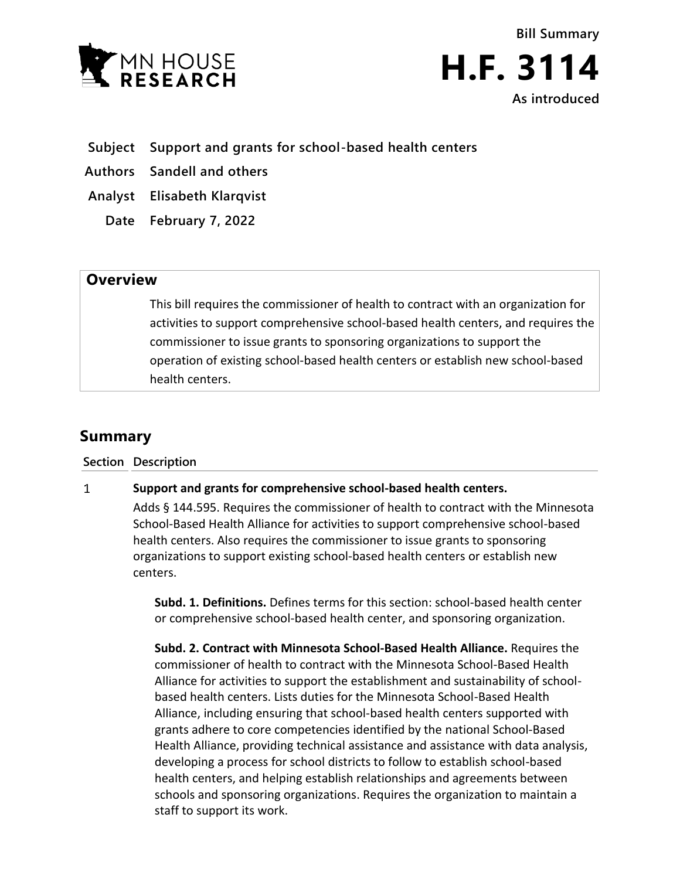

**Bill Summary H.F. 3114 As introduced**

**Subject Support and grants for school-based health centers**

**Authors Sandell and others**

**Analyst Elisabeth Klarqvist**

**Date February 7, 2022**

## **Overview**

This bill requires the commissioner of health to contract with an organization for activities to support comprehensive school-based health centers, and requires the commissioner to issue grants to sponsoring organizations to support the operation of existing school-based health centers or establish new school-based health centers.

# **Summary**

**Section Description**

#### $\mathbf{1}$ **Support and grants for comprehensive school-based health centers.**

Adds § 144.595. Requires the commissioner of health to contract with the Minnesota School-Based Health Alliance for activities to support comprehensive school-based health centers. Also requires the commissioner to issue grants to sponsoring organizations to support existing school-based health centers or establish new centers.

**Subd. 1. Definitions.** Defines terms for this section: school-based health center or comprehensive school-based health center, and sponsoring organization.

**Subd. 2. Contract with Minnesota School-Based Health Alliance.** Requires the commissioner of health to contract with the Minnesota School-Based Health Alliance for activities to support the establishment and sustainability of schoolbased health centers. Lists duties for the Minnesota School-Based Health Alliance, including ensuring that school-based health centers supported with grants adhere to core competencies identified by the national School-Based Health Alliance, providing technical assistance and assistance with data analysis, developing a process for school districts to follow to establish school-based health centers, and helping establish relationships and agreements between schools and sponsoring organizations. Requires the organization to maintain a staff to support its work.